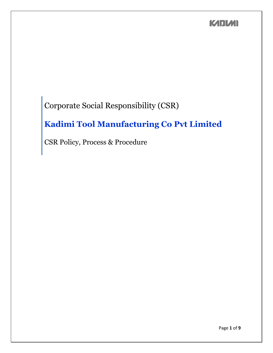Corporate Social Responsibility (CSR)

# **Kadimi Tool Manufacturing Co Pvt Limited**

CSR Policy, Process & Procedure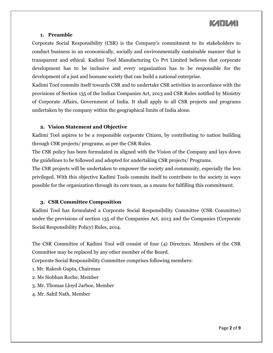#### **1. Preamble**

Corporate Social Responsibility (CSR) is the Company's commitment to its stakeholders to conduct business in an economically, socially and environmentally sustainable manner that is transparent and ethical. Kadimi Tool Manufacturing Co Pvt Limited believes that corporate development has to be inclusive and every organization has to be responsible for the development of a just and humane society that can build a national enterprise.

Kadimi Tool commits itself towards CSR and to undertake CSR activities in accordance with the provisions of Section 135 of the Indian Companies Act, 2013 and CSR Rules notified by Ministry of Corporate Affairs, Government of India. It shall apply to all CSR projects and programs undertaken by the company within the geographical limits of India alone.

#### **2. Vision Statement and Objective**

Kadimi Tool aspires to be a responsible corporate Citizen, by contributing to nation building through CSR projects/ programs, as per the CSR Rules.

The CSR policy has been formulated in aligned with the Vision of the Company and lays down the guidelines to be followed and adopted for undertaking CSR projects/ Programs.

The CSR projects will be undertaken to empower the society and community, especially the less privileged. With this objective Kadimi Tools commits itself to contribute to the society in ways possible for the organization through its core team, as a means for fulfilling this commitment.

### **3. CSR Committee Composition**

Kadimi Tool has formulated a Corporate Social Responsibility Committee (CSR Committee) under the provisions of section 135 of the Companies Act, 2013 and the Companies (Corporate Social Responsibility Policy) Rules, 2014.

The CSR Committee of Kadimi Tool will consist of four (4) Directors. Members of the CSR Committee may be replaced by any other member of the Board.

Corporate Social Responsibility Committee comprises following members:

- 1. Mr. Rakesh Gupta, Chairman
- 2. Ms Siobhan Roche, Member
- 3. Mr. Thomas Lloyd Jarboe, Member
- 4. Mr. Sahil Nath, Member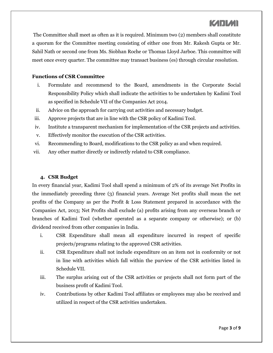The Committee shall meet as often as it is required. Minimum two (2) members shall constitute a quorum for the Committee meeting consisting of either one from Mr. Rakesh Gupta or Mr. Sahil Nath or second one from Ms. Siobhan Roche or Thomas Lloyd Jarboe. This committee will meet once every quarter. The committee may transact business (es) through circular resolution.

#### **Functions of CSR Committee**

- i. Formulate and recommend to the Board, amendments in the Corporate Social Responsibility Policy which shall indicate the activities to be undertaken by Kadimi Tool as specified in Schedule VII of the Companies Act 2014.
- ii. Advice on the approach for carrying out activities and necessary budget.
- iii. Approve projects that are in line with the CSR policy of Kadimi Tool.
- iv. Institute a transparent mechanism for implementation of the CSR projects and activities.
- v. Effectively monitor the execution of the CSR activities.
- vi. Recommending to Board, modifications to the CSR policy as and when required.
- vii. Any other matter directly or indirectly related to CSR compliance.

### **4. CSR Budget**

In every financial year, Kadimi Tool shall spend a minimum of 2% of its average Net Profits in the immediately preceding three (3) financial years. Average Net profits shall mean the net profits of the Company as per the Profit & Loss Statement prepared in accordance with the Companies Act, 2013; Net Profits shall exclude (a) profits arising from any overseas branch or branches of Kadimi Tool (whether operated as a separate company or otherwise); or (b) dividend received from other companies in India.

- i. CSR Expenditure shall mean all expenditure incurred in respect of specific projects/programs relating to the approved CSR activities.
- ii. CSR Expenditure shall not include expenditure on an item not in conformity or not in line with activities which fall within the purview of the CSR activities listed in Schedule VII.
- iii. The surplus arising out of the CSR activities or projects shall not form part of the business profit of Kadimi Tool.
- iv. Contributions by other Kadimi Tool affiliates or employees may also be received and utilized in respect of the CSR activities undertaken.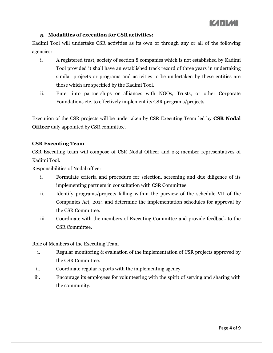### **5. Modalities of execution for CSR activities:**

Kadimi Tool will undertake CSR activities as its own or through any or all of the following agencies:

- i. A registered trust, society of section 8 companies which is not established by Kadimi Tool provided it shall have an established track record of three years in undertaking similar projects or programs and activities to be undertaken by these entities are those which are specified by the Kadimi Tool.
- ii. Enter into partnerships or alliances with NGOs, Trusts, or other Corporate Foundations etc. to effectively implement its CSR programs/projects.

Execution of the CSR projects will be undertaken by CSR Executing Team led by **CSR Nodal Officer** duly appointed by CSR committee.

### **CSR Executing Team**

CSR Executing team will compose of CSR Nodal Officer and 2-3 member representatives of Kadimi Tool.

Responsibilities of Nodal officer

- i. Formulate criteria and procedure for selection, screening and due diligence of its implementing partners in consultation with CSR Committee.
- ii. Identify programs/projects falling within the purview of the schedule VII of the Companies Act, 2014 and determine the implementation schedules for approval by the CSR Committee.
- iii. Coordinate with the members of Executing Committee and provide feedback to the CSR Committee.

### Role of Members of the Executing Team

- i. Regular monitoring & evaluation of the implementation of CSR projects approved by the CSR Committee.
- ii. Coordinate regular reports with the implementing agency.
- iii. Encourage its employees for volunteering with the spirit of serving and sharing with the community.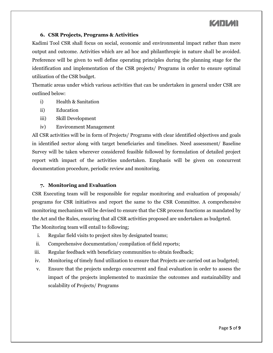### **6. CSR Projects, Programs & Activities**

Kadimi Tool CSR shall focus on social, economic and environmental impact rather than mere output and outcome. Activities which are ad hoc and philanthropic in nature shall be avoided. Preference will be given to well define operating principles during the planning stage for the identification and implementation of the CSR projects/ Programs in order to ensure optimal utilization of the CSR budget.

Thematic areas under which various activities that can be undertaken in general under CSR are outlined below:

- i) Health & Sanitation
- ii) Education
- iii) Skill Development
- iv) Environment Management

All CSR activities will be in form of Projects/ Programs with clear identified objectives and goals in identified sector along with target beneficiaries and timelines. Need assessment/ Baseline Survey will be taken wherever considered feasible followed by formulation of detailed project report with impact of the activities undertaken. Emphasis will be given on concurrent documentation procedure, periodic review and monitoring.

#### **7. Monitoring and Evaluation**

CSR Executing team will be responsible for regular monitoring and evaluation of proposals/ programs for CSR initiatives and report the same to the CSR Committee. A comprehensive monitoring mechanism will be devised to ensure that the CSR process functions as mandated by the Act and the Rules, ensuring that all CSR activities proposed are undertaken as budgeted. The Monitoring team will entail to following;

- i. Regular field visits to project sites by designated teams;
- ii. Comprehensive documentation/ compilation of field reports;
- iii. Regular feedback with beneficiary communities to obtain feedback;
- iv. Monitoring of timely fund utilization to ensure that Projects are carried out as budgeted;
- v. Ensure that the projects undergo concurrent and final evaluation in order to assess the impact of the projects implemented to maximize the outcomes and sustainability and scalability of Projects/ Programs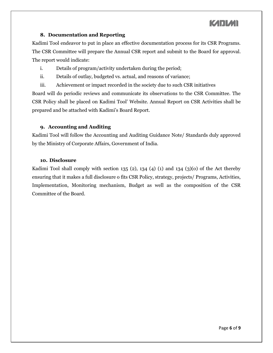### **8. Documentation and Reporting**

Kadimi Tool endeavor to put in place an effective documentation process for its CSR Programs. The CSR Committee will prepare the Annual CSR report and submit to the Board for approval. The report would indicate:

- i. Details of program/activity undertaken during the period;
- ii. Details of outlay, budgeted vs. actual, and reasons of variance;
- iii. Achievement or impact recorded in the society due to such CSR initiatives

Board will do periodic reviews and communicate its observations to the CSR Committee. The CSR Policy shall be placed on Kadimi Tool' Website. Annual Report on CSR Activities shall be prepared and be attached with Kadimi's Board Report.

### **9. Accounting and Auditing**

Kadimi Tool will follow the Accounting and Auditing Guidance Note/ Standards duly approved by the Ministry of Corporate Affairs, Government of India.

#### **10. Disclosure**

Kadimi Tool shall comply with section 135 (2), 134 (4) (1) and 134 (3)(0) of the Act thereby ensuring that it makes a full disclosure o fits CSR Policy, strategy, projects/ Programs, Activities, Implementation, Monitoring mechanism, Budget as well as the composition of the CSR Committee of the Board.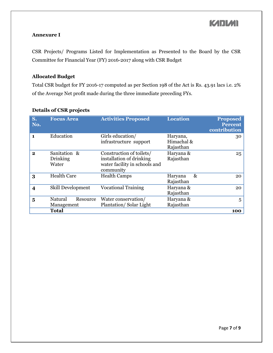### **Annexure I**

CSR Projects/ Programs Listed for Implementation as Presented to the Board by the CSR Committee for Financial Year (FY) 2016-2017 along with CSR Budget

### **Allocated Budget**

Total CSR budget for FY 2016-17 computed as per Section 198 of the Act is Rs. 43.91 lacs i.e. 2% of the Average Net profit made during the three immediate preceding FYs.

| S.<br>No.               | <b>Focus Area</b>                 |          | <b>Activities Proposed</b>                                                                         | <b>Location</b>                     |      | <b>Proposed</b><br><b>Percent</b><br>contribution |
|-------------------------|-----------------------------------|----------|----------------------------------------------------------------------------------------------------|-------------------------------------|------|---------------------------------------------------|
| $\mathbf{1}$            | Education                         |          | Girls education/<br>infrastructure support                                                         | Haryana,<br>Himachal &<br>Rajasthan |      | 30                                                |
| $\mathbf{2}$            | Sanitation &<br>Drinking<br>Water |          | Construction of toilets/<br>installation of drinking<br>water facility in schools and<br>community | Haryana &<br>Rajasthan              |      | 25                                                |
| 3                       | <b>Health Care</b>                |          | <b>Health Camps</b>                                                                                | Haryana<br>Rajasthan                | $\&$ | 20                                                |
| $\overline{\mathbf{4}}$ | <b>Skill Development</b>          |          | <b>Vocational Training</b>                                                                         | Haryana &<br>Rajasthan              |      | 20                                                |
| 5                       | Natural<br>Management             | Resource | Water conservation/<br>Plantation/Solar Light                                                      | Haryana &<br>Rajasthan              |      | 5                                                 |
|                         | <b>Total</b>                      |          |                                                                                                    |                                     | 100  |                                                   |

### **Details of CSR projects**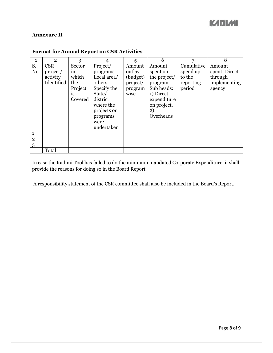#### **Annexure II**

|                | $\overline{2}$                     | 3                                                 |                                                                                                                        | 5                                                 | 6                                                                                                               | 7                                         | 8                                                  |
|----------------|------------------------------------|---------------------------------------------------|------------------------------------------------------------------------------------------------------------------------|---------------------------------------------------|-----------------------------------------------------------------------------------------------------------------|-------------------------------------------|----------------------------------------------------|
| S.             | <b>CSR</b>                         | Sector                                            | Project/                                                                                                               | Amount                                            | Amount                                                                                                          | Cumulative                                | Amount                                             |
| No.            | project/<br>activity<br>Identified | $\ln$<br>which<br>the<br>Project<br>1S<br>Covered | programs<br>Local area/<br>others<br>Specify the<br>State/<br>district<br>where the<br>projects or<br>programs<br>were | outlay<br>(budget)<br>project/<br>program<br>wise | spent on<br>the project/<br>program<br>Sub heads:<br>1) Direct<br>expenditure<br>on project,<br>2)<br>Overheads | spend up<br>to the<br>reporting<br>period | spent: Direct<br>through<br>implementing<br>agency |
|                |                                    |                                                   | undertaken                                                                                                             |                                                   |                                                                                                                 |                                           |                                                    |
|                |                                    |                                                   |                                                                                                                        |                                                   |                                                                                                                 |                                           |                                                    |
| $\overline{2}$ |                                    |                                                   |                                                                                                                        |                                                   |                                                                                                                 |                                           |                                                    |
| 3              |                                    |                                                   |                                                                                                                        |                                                   |                                                                                                                 |                                           |                                                    |
|                | Total                              |                                                   |                                                                                                                        |                                                   |                                                                                                                 |                                           |                                                    |

### **Format for Annual Report on CSR Activities**

In case the Kadimi Tool has failed to do the minimum mandated Corporate Expenditure, it shall provide the reasons for doing so in the Board Report.

A responsibility statement of the CSR committee shall also be included in the Board's Report.